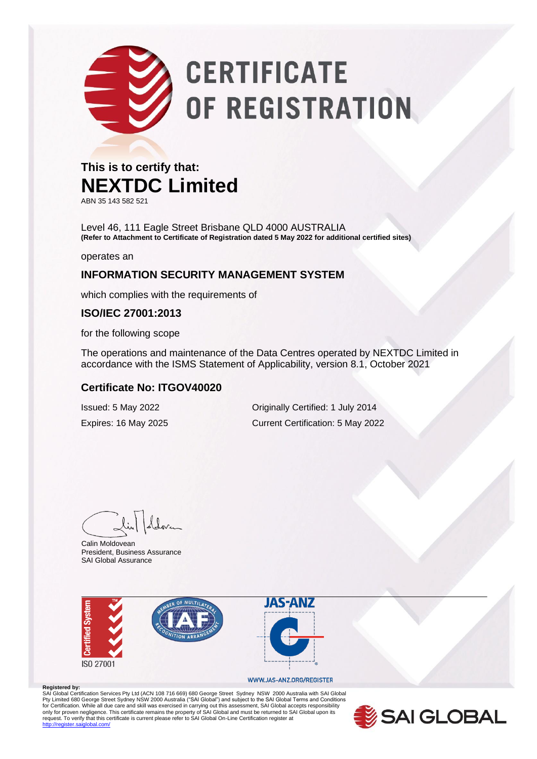# **CERTIFICATE** OF REGISTRATION

#### **This is to certify that: NEXTDC Limited**

ABN 35 143 582 521

Level 46, 111 Eagle Street Brisbane QLD 4000 AUSTRALIA **(Refer to Attachment to Certificate of Registration dated 5 May 2022 for additional certified sites)**

operates an

#### **INFORMATION SECURITY MANAGEMENT SYSTEM**

which complies with the requirements of

#### **ISO/IEC 27001:2013**

for the following scope

The operations and maintenance of the Data Centres operated by NEXTDC Limited in accordance with the ISMS Statement of Applicability, version 8.1, October 2021

#### **Certificate No: ITGOV40020**

Issued: 5 May 2022 Originally Certified: 1 July 2014 Expires: 16 May 2025 Current Certification: 5 May 2022

Calin Moldovean President, Business Assurance SAI Global Assurance



#### WWW.JAS-ANZ.ORG/REGISTER

**Registered by:** SAI Global Certification Services Pty Ltd (ACN 108 716 669) 680 George Street Sydney NSW 2000 Australia with SAI Global Pty Limited 680 George Street Sydney NSW 2000 Australia ("SAI Global") and subject to the SAI Global Terms and Conditions<br>for Certification. While all due care and skill was exercised in carrying out this assessment, SAI G only for proven negligence. This certificate remains the property of SAI Global and must be returned to SAI Global upon its<br>request. To verify that this certificate is current please refer to SAI Global On-Line Certificati .<br>diobal.com/

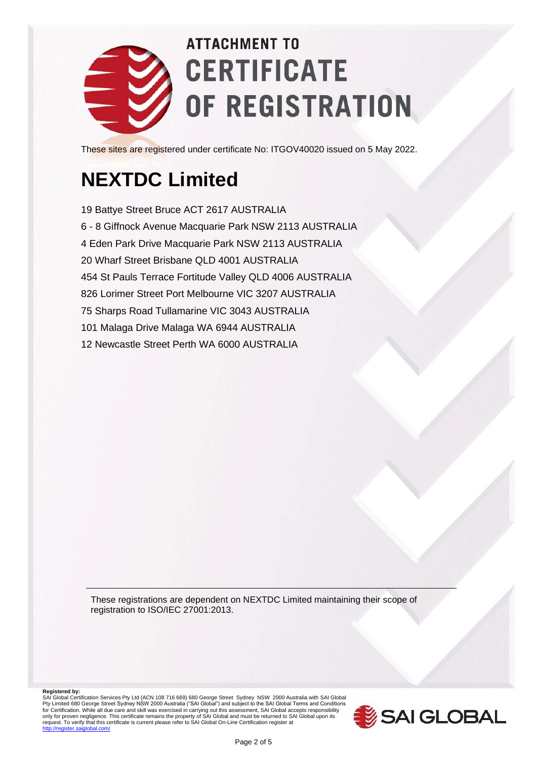

These sites are registered under certificate No: ITGOV40020 issued on 5 May 2022.

### **NEXTDC Limited**

19 Battye Street Bruce ACT 2617 AUSTRALIA 6 - 8 Giffnock Avenue Macquarie Park NSW 2113 AUSTRALIA 4 Eden Park Drive Macquarie Park NSW 2113 AUSTRALIA 20 Wharf Street Brisbane QLD 4001 AUSTRALIA 454 St Pauls Terrace Fortitude Valley QLD 4006 AUSTRALIA 826 Lorimer Street Port Melbourne VIC 3207 AUSTRALIA 75 Sharps Road Tullamarine VIC 3043 AUSTRALIA 101 Malaga Drive Malaga WA 6944 AUSTRALIA 12 Newcastle Street Perth WA 6000 AUSTRALIA

These registrations are dependent on NEXTDC Limited maintaining their scope of registration to ISO/IEC 27001:2013.

**Registered by:**<br>SAI Global Certification Services Pty Ltd (ACN 108 716 669) 680 George Street Sydney NSW 2000 Australia with SAI Global<br>Pty Limited 680 George Street Sydney NSW 2000 Australia ("SAI Global") and subject for Certification. While all due care and skill was exercised in carrying out this assessment, SAI Global accepts responsibility<br>only for proven negligence. This certificate remains the property of SAI Global and must be r

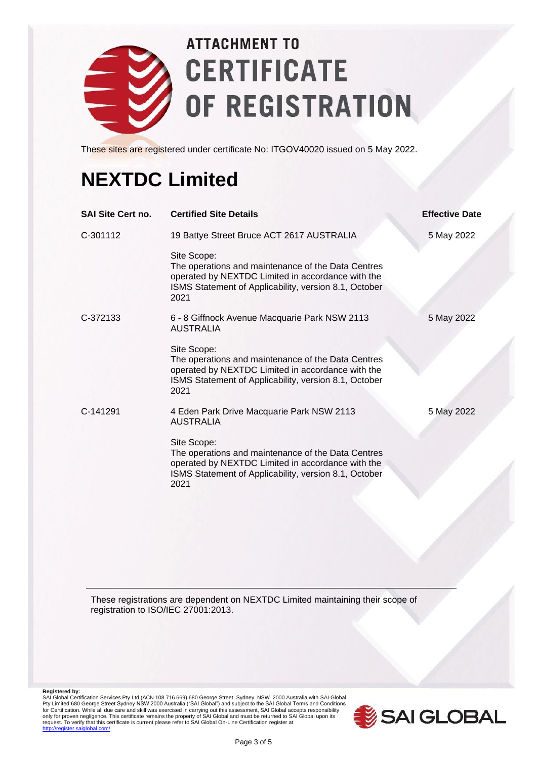

These sites are registered under certificate No: ITGOV40020 issued on 5 May 2022.

### **NEXTDC Limited**

| <b>SAI Site Cert no.</b> | <b>Certified Site Details</b>                                                                                                                                                           | <b>Effective Date</b> |
|--------------------------|-----------------------------------------------------------------------------------------------------------------------------------------------------------------------------------------|-----------------------|
| C-301112                 | 19 Battye Street Bruce ACT 2617 AUSTRALIA                                                                                                                                               | 5 May 2022            |
|                          | Site Scope:<br>The operations and maintenance of the Data Centres<br>operated by NEXTDC Limited in accordance with the<br>ISMS Statement of Applicability, version 8.1, October<br>2021 |                       |
| C-372133                 | 6 - 8 Giffnock Avenue Macquarie Park NSW 2113<br>AUSTRALIA                                                                                                                              | 5 May 2022            |
|                          | Site Scope:<br>The operations and maintenance of the Data Centres<br>operated by NEXTDC Limited in accordance with the<br>ISMS Statement of Applicability, version 8.1, October<br>2021 |                       |
| C-141291                 | 4 Eden Park Drive Macquarie Park NSW 2113<br><b>AUSTRALIA</b>                                                                                                                           | 5 May 2022            |
|                          | Site Scope:<br>The operations and maintenance of the Data Centres<br>operated by NEXTDC Limited in accordance with the<br>ISMS Statement of Applicability, version 8.1, October<br>2021 |                       |
|                          |                                                                                                                                                                                         |                       |

These registrations are dependent on NEXTDC Limited maintaining their scope of registration to ISO/IEC 27001:2013.

Registered by:<br>SAI Global Certification Services Pty Ltd (ACN 108 716 669) 680 George Street Sydney NSW 2000 Australia with SAI Global<br>Pty Limited 680 George Street Sydney NSW 2000 Australia ("SAI Global") and subject to t

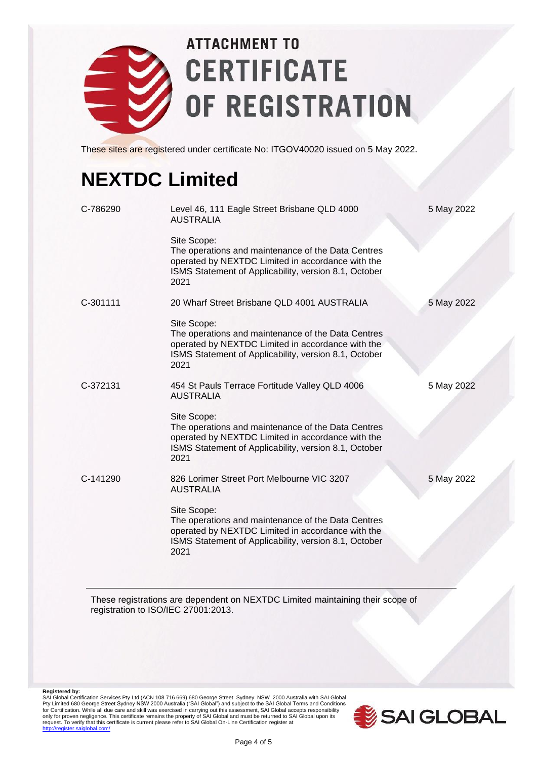

These sites are registered under certificate No: ITGOV40020 issued on 5 May 2022.

### **NEXTDC Limited**

| C-786290 | Level 46, 111 Eagle Street Brisbane QLD 4000<br><b>AUSTRALIA</b>                                                                                                                        | 5 May 2022 |
|----------|-----------------------------------------------------------------------------------------------------------------------------------------------------------------------------------------|------------|
|          | Site Scope:<br>The operations and maintenance of the Data Centres<br>operated by NEXTDC Limited in accordance with the<br>ISMS Statement of Applicability, version 8.1, October<br>2021 |            |
| C-301111 | 20 Wharf Street Brisbane QLD 4001 AUSTRALIA                                                                                                                                             | 5 May 2022 |
|          | Site Scope:<br>The operations and maintenance of the Data Centres<br>operated by NEXTDC Limited in accordance with the<br>ISMS Statement of Applicability, version 8.1, October<br>2021 |            |
| C-372131 | 454 St Pauls Terrace Fortitude Valley QLD 4006<br><b>AUSTRALIA</b>                                                                                                                      | 5 May 2022 |
|          | Site Scope:<br>The operations and maintenance of the Data Centres<br>operated by NEXTDC Limited in accordance with the<br>ISMS Statement of Applicability, version 8.1, October<br>2021 |            |
| C-141290 | 826 Lorimer Street Port Melbourne VIC 3207<br><b>AUSTRALIA</b>                                                                                                                          | 5 May 2022 |
|          | Site Scope:<br>The operations and maintenance of the Data Centres<br>operated by NEXTDC Limited in accordance with the<br>ISMS Statement of Applicability, version 8.1, October<br>2021 |            |

These registrations are dependent on NEXTDC Limited maintaining their scope of registration to ISO/IEC 27001:2013.

Registered by:<br>SAI Global Certification Services Pty Ltd (ACN 108 716 669) 680 George Street Sydney NSW 2000 Australia with SAI Global<br>Pty Limited 680 George Street Sydney NSW 2000 Australia ("SAI Global") and subject to t